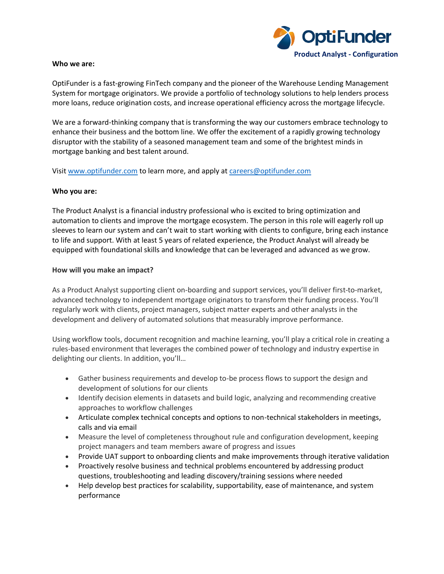

#### **Who we are:**

OptiFunder is a fast-growing FinTech company and the pioneer of the Warehouse Lending Management System for mortgage originators. We provide a portfolio of technology solutions to help lenders process more loans, reduce origination costs, and increase operational efficiency across the mortgage lifecycle.

We are a forward-thinking company that is transforming the way our customers embrace technology to enhance their business and the bottom line. We offer the excitement of a rapidly growing technology disruptor with the stability of a seasoned management team and some of the brightest minds in mortgage banking and best talent around.

Visit [www.optifunder.com](http://www.optifunder.com/) to learn more, and apply at [careers@optifunder.com](mailto:careers@optifunder.com)

### **Who you are:**

The Product Analyst is a financial industry professional who is excited to bring optimization and automation to clients and improve the mortgage ecosystem. The person in this role will eagerly roll up sleeves to learn our system and can't wait to start working with clients to configure, bring each instance to life and support. With at least 5 years of related experience, the Product Analyst will already be equipped with foundational skills and knowledge that can be leveraged and advanced as we grow.

### **How will you make an impact?**

As a Product Analyst supporting client on-boarding and support services, you'll deliver first-to-market, advanced technology to independent mortgage originators to transform their funding process. You'll regularly work with clients, project managers, subject matter experts and other analysts in the development and delivery of automated solutions that measurably improve performance.

Using workflow tools, document recognition and machine learning, you'll play a critical role in creating a rules-based environment that leverages the combined power of technology and industry expertise in delighting our clients. In addition, you'll…

- Gather business requirements and develop to-be process flows to support the design and development of solutions for our clients
- Identify decision elements in datasets and build logic, analyzing and recommending creative approaches to workflow challenges
- Articulate complex technical concepts and options to non-technical stakeholders in meetings, calls and via email
- Measure the level of completeness throughout rule and configuration development, keeping project managers and team members aware of progress and issues
- Provide UAT support to onboarding clients and make improvements through iterative validation
- Proactively resolve business and technical problems encountered by addressing product questions, troubleshooting and leading discovery/training sessions where needed
- Help develop best practices for scalability, supportability, ease of maintenance, and system performance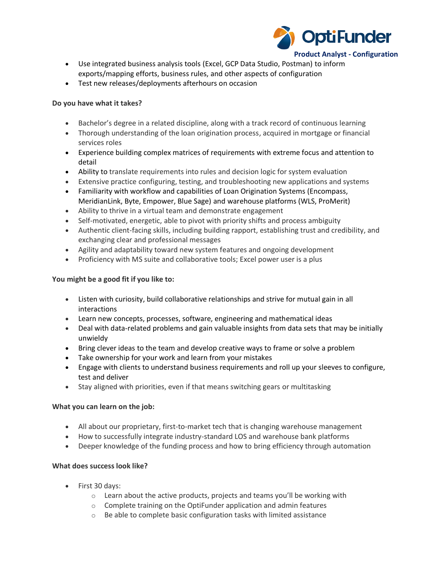

- Use integrated business analysis tools (Excel, GCP Data Studio, Postman) to inform exports/mapping efforts, business rules, and other aspects of configuration
- Test new releases/deployments afterhours on occasion

# **Do you have what it takes?**

- Bachelor's degree in a related discipline, along with a track record of continuous learning
- Thorough understanding of the loan origination process, acquired in mortgage or financial services roles
- Experience building complex matrices of requirements with extreme focus and attention to detail
- Ability to translate requirements into rules and decision logic for system evaluation
- Extensive practice configuring, testing, and troubleshooting new applications and systems
- Familiarity with workflow and capabilities of Loan Origination Systems (Encompass, MeridianLink, Byte, Empower, Blue Sage) and warehouse platforms (WLS, ProMerit)
- Ability to thrive in a virtual team and demonstrate engagement
- Self-motivated, energetic, able to pivot with priority shifts and process ambiguity
- Authentic client-facing skills, including building rapport, establishing trust and credibility, and exchanging clear and professional messages
- Agility and adaptability toward new system features and ongoing development
- Proficiency with MS suite and collaborative tools; Excel power user is a plus

# **You might be a good fit if you like to:**

- Listen with curiosity, build collaborative relationships and strive for mutual gain in all interactions
- Learn new concepts, processes, software, engineering and mathematical ideas
- Deal with data-related problems and gain valuable insights from data sets that may be initially unwieldy
- Bring clever ideas to the team and develop creative ways to frame or solve a problem
- Take ownership for your work and learn from your mistakes
- Engage with clients to understand business requirements and roll up your sleeves to configure, test and deliver
- Stay aligned with priorities, even if that means switching gears or multitasking

## **What you can learn on the job:**

- All about our proprietary, first-to-market tech that is changing warehouse management
- How to successfully integrate industry-standard LOS and warehouse bank platforms
- Deeper knowledge of the funding process and how to bring efficiency through automation

# **What does success look like?**

- First 30 days:
	- o Learn about the active products, projects and teams you'll be working with
	- $\circ$  Complete training on the OptiFunder application and admin features
	- o Be able to complete basic configuration tasks with limited assistance